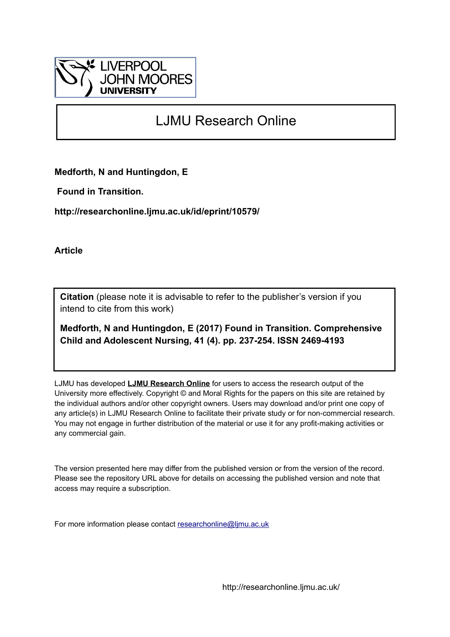

# LJMU Research Online

**Medforth, N and Huntingdon, E**

 **Found in Transition.**

**http://researchonline.ljmu.ac.uk/id/eprint/10579/**

**Article**

**Citation** (please note it is advisable to refer to the publisher's version if you intend to cite from this work)

**Medforth, N and Huntingdon, E (2017) Found in Transition. Comprehensive Child and Adolescent Nursing, 41 (4). pp. 237-254. ISSN 2469-4193** 

LJMU has developed **[LJMU Research Online](http://researchonline.ljmu.ac.uk/)** for users to access the research output of the University more effectively. Copyright © and Moral Rights for the papers on this site are retained by the individual authors and/or other copyright owners. Users may download and/or print one copy of any article(s) in LJMU Research Online to facilitate their private study or for non-commercial research. You may not engage in further distribution of the material or use it for any profit-making activities or any commercial gain.

The version presented here may differ from the published version or from the version of the record. Please see the repository URL above for details on accessing the published version and note that access may require a subscription.

For more information please contact [researchonline@ljmu.ac.uk](mailto:researchonline@ljmu.ac.uk)

http://researchonline.ljmu.ac.uk/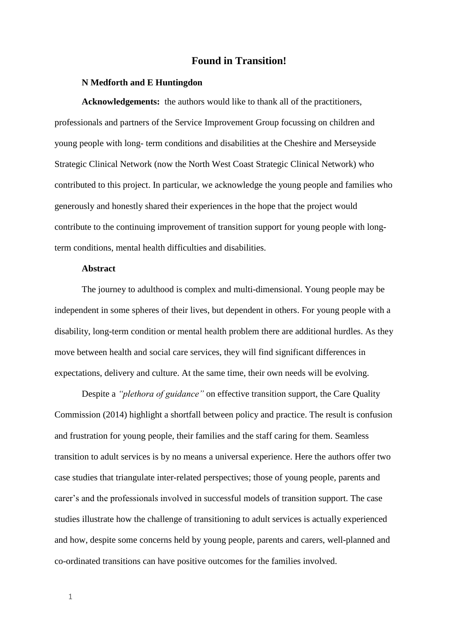# **Found in Transition!**

#### **N Medforth and E Huntingdon**

**Acknowledgements:** the authors would like to thank all of the practitioners, professionals and partners of the Service Improvement Group focussing on children and young people with long- term conditions and disabilities at the Cheshire and Merseyside Strategic Clinical Network (now the North West Coast Strategic Clinical Network) who contributed to this project. In particular, we acknowledge the young people and families who generously and honestly shared their experiences in the hope that the project would contribute to the continuing improvement of transition support for young people with longterm conditions, mental health difficulties and disabilities.

# **Abstract**

The journey to adulthood is complex and multi-dimensional. Young people may be independent in some spheres of their lives, but dependent in others. For young people with a disability, long-term condition or mental health problem there are additional hurdles. As they move between health and social care services, they will find significant differences in expectations, delivery and culture. At the same time, their own needs will be evolving.

Despite a *"plethora of guidance"* on effective transition support*,* the Care Quality Commission (2014) highlight a shortfall between policy and practice. The result is confusion and frustration for young people, their families and the staff caring for them. Seamless transition to adult services is by no means a universal experience. Here the authors offer two case studies that triangulate inter-related perspectives; those of young people, parents and carer's and the professionals involved in successful models of transition support. The case studies illustrate how the challenge of transitioning to adult services is actually experienced and how, despite some concerns held by young people, parents and carers, well-planned and co-ordinated transitions can have positive outcomes for the families involved.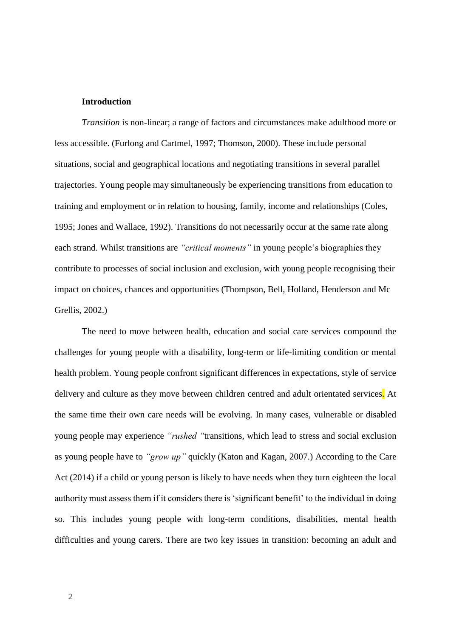#### **Introduction**

*Transition* is non-linear; a range of factors and circumstances make adulthood more or less accessible. (Furlong and Cartmel, 1997; Thomson, 2000). These include personal situations, social and geographical locations and negotiating transitions in several parallel trajectories. Young people may simultaneously be experiencing transitions from education to training and employment or in relation to housing, family, income and relationships (Coles, 1995; Jones and Wallace, 1992). Transitions do not necessarily occur at the same rate along each strand. Whilst transitions are *"critical moments"* in young people's biographies they contribute to processes of social inclusion and exclusion, with young people recognising their impact on choices, chances and opportunities (Thompson, Bell, Holland, Henderson and Mc Grellis, 2002.)

The need to move between health, education and social care services compound the challenges for young people with a disability, long-term or life-limiting condition or mental health problem. Young people confront significant differences in expectations, style of service delivery and culture as they move between children centred and adult orientated services. At the same time their own care needs will be evolving. In many cases, vulnerable or disabled young people may experience *"rushed "*transitions, which lead to stress and social exclusion as young people have to *"grow up"* quickly (Katon and Kagan, 2007.) According to the Care Act (2014) if a child or young person is likely to have needs when they turn eighteen the local authority must assess them if it considers there is 'significant benefit' to the individual in doing so. This includes young people with long-term conditions, disabilities, mental health difficulties and young carers. There are two key issues in transition: becoming an adult and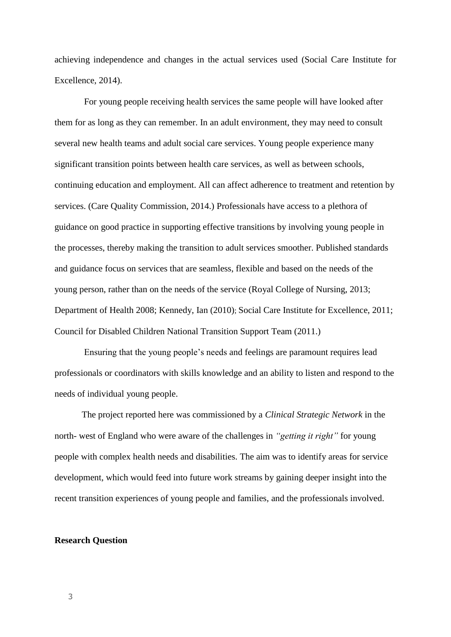achieving independence and changes in the actual services used (Social Care Institute for Excellence, 2014).

For young people receiving health services the same people will have looked after them for as long as they can remember. In an adult environment, they may need to consult several new health teams and adult social care services. Young people experience many significant transition points between health care services, as well as between schools, continuing education and employment. All can affect adherence to treatment and retention by services. (Care Quality Commission, 2014.) Professionals have access to a plethora of guidance on good practice in supporting effective transitions by involving young people in the processes, thereby making the transition to adult services smoother. Published standards and guidance focus on services that are seamless, flexible and based on the needs of the young person, rather than on the needs of the service (Royal College of Nursing, 2013; Department of Health 2008; Kennedy, Ian (2010); Social Care Institute for Excellence, 2011; Council for Disabled Children National Transition Support Team (2011.)

Ensuring that the young people's needs and feelings are paramount requires lead professionals or coordinators with skills knowledge and an ability to listen and respond to the needs of individual young people.

The project reported here was commissioned by a *Clinical Strategic Network* in the north- west of England who were aware of the challenges in *"getting it right"* for young people with complex health needs and disabilities. The aim was to identify areas for service development, which would feed into future work streams by gaining deeper insight into the recent transition experiences of young people and families, and the professionals involved.

#### **Research Question**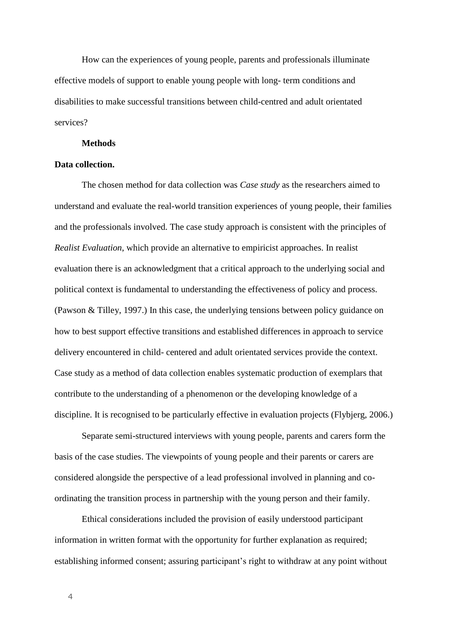How can the experiences of young people, parents and professionals illuminate effective models of support to enable young people with long- term conditions and disabilities to make successful transitions between child-centred and adult orientated services?

#### **Methods**

## **Data collection.**

The chosen method for data collection was *Case study* as the researchers aimed to understand and evaluate the real-world transition experiences of young people, their families and the professionals involved. The case study approach is consistent with the principles of *Realist Evaluation*, which provide an alternative to empiricist approaches. In realist evaluation there is an acknowledgment that a critical approach to the underlying social and political context is fundamental to understanding the effectiveness of policy and process. (Pawson & Tilley, 1997.) In this case, the underlying tensions between policy guidance on how to best support effective transitions and established differences in approach to service delivery encountered in child- centered and adult orientated services provide the context. Case study as a method of data collection enables systematic production of exemplars that contribute to the understanding of a phenomenon or the developing knowledge of a discipline. It is recognised to be particularly effective in evaluation projects (Flybjerg, 2006.)

Separate semi-structured interviews with young people, parents and carers form the basis of the case studies. The viewpoints of young people and their parents or carers are considered alongside the perspective of a lead professional involved in planning and coordinating the transition process in partnership with the young person and their family.

Ethical considerations included the provision of easily understood participant information in written format with the opportunity for further explanation as required; establishing informed consent; assuring participant's right to withdraw at any point without

4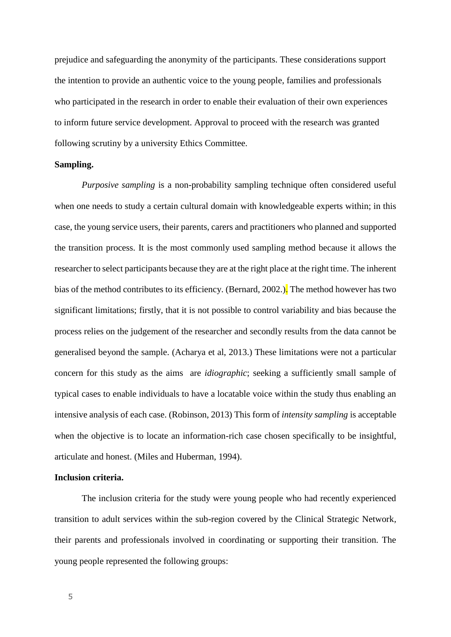prejudice and safeguarding the anonymity of the participants. These considerations support the intention to provide an authentic voice to the young people, families and professionals who participated in the research in order to enable their evaluation of their own experiences to inform future service development. Approval to proceed with the research was granted following scrutiny by a university Ethics Committee.

## **Sampling.**

*Purposive sampling* is a non-probability sampling technique often considered useful when one needs to study a certain cultural domain with knowledgeable experts within; in this case, the young service users, their parents, carers and practitioners who planned and supported the transition process. It is the most commonly used sampling method because it allows the researcher to select participants because they are at the right place at the right time. The inherent bias of the method contributes to its efficiency. (Bernard, 2002.). The method however has two significant limitations; firstly, that it is not possible to control variability and bias because the process relies on the judgement of the researcher and secondly results from the data cannot be generalised beyond the sample. (Acharya et al, 2013.) These limitations were not a particular concern for this study as the aims are *idiographic*; seeking a sufficiently small sample of typical cases to enable individuals to have a locatable voice within the study thus enabling an intensive analysis of each case. (Robinson, 2013) This form of *intensity sampling* is acceptable when the objective is to locate an information-rich case chosen specifically to be insightful, articulate and honest. (Miles and Huberman, 1994).

## **Inclusion criteria.**

The inclusion criteria for the study were young people who had recently experienced transition to adult services within the sub-region covered by the Clinical Strategic Network*,* their parents and professionals involved in coordinating or supporting their transition. The young people represented the following groups: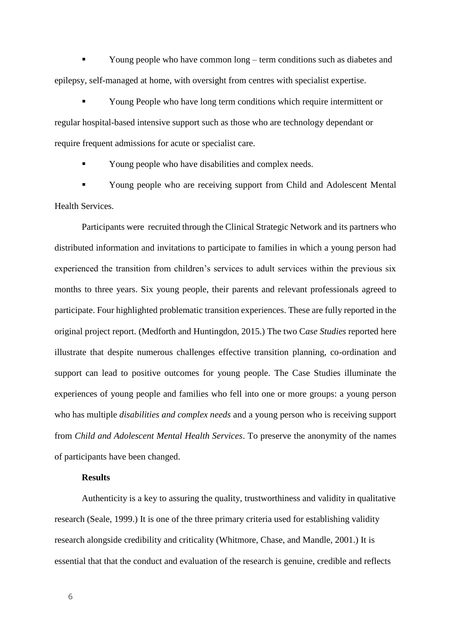Young people who have common long – term conditions such as diabetes and epilepsy, self-managed at home, with oversight from centres with specialist expertise.

 Young People who have long term conditions which require intermittent or regular hospital-based intensive support such as those who are technology dependant or require frequent admissions for acute or specialist care.

Young people who have disabilities and complex needs.

 Young people who are receiving support from Child and Adolescent Mental Health Services.

Participants were recruited through the Clinical Strategic Network and its partners who distributed information and invitations to participate to families in which a young person had experienced the transition from children's services to adult services within the previous six months to three years. Six young people, their parents and relevant professionals agreed to participate. Four highlighted problematic transition experiences. These are fully reported in the original project report. (Medforth and Huntingdon, 2015.) The two C*ase Studies* reported here illustrate that despite numerous challenges effective transition planning, co-ordination and support can lead to positive outcomes for young people. The Case Studies illuminate the experiences of young people and families who fell into one or more groups: a young person who has multiple *disabilities and complex needs* and a young person who is receiving support from *Child and Adolescent Mental Health Services*. To preserve the anonymity of the names of participants have been changed.

# **Results**

Authenticity is a key to assuring the quality, trustworthiness and validity in qualitative research (Seale, 1999.) It is one of the three primary criteria used for establishing validity research alongside credibility and criticality (Whitmore, Chase, and Mandle, 2001.) It is essential that that the conduct and evaluation of the research is genuine, credible and reflects

6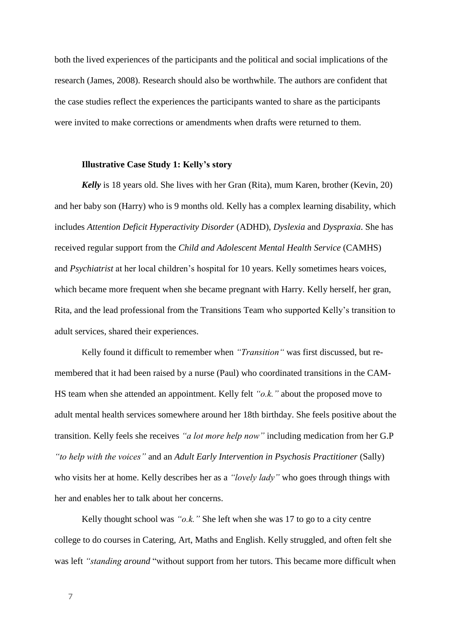both the lived experiences of the participants and the political and social implications of the research (James, 2008). Research should also be worthwhile. The authors are confident that the case studies reflect the experiences the participants wanted to share as the participants were invited to make corrections or amendments when drafts were returned to them.

### **Illustrative Case Study 1: Kelly's story**

*Kelly* is 18 years old. She lives with her Gran (Rita), mum Karen, brother (Kevin, 20) and her baby son (Harry) who is 9 months old. Kelly has a complex learning disability, which includes *Attention Deficit Hyperactivity Disorder* (ADHD), *Dyslexia* and *Dyspraxia*. She has received regular support from the *Child and Adolescent Mental Health Service* (CAMHS) and *Psychiatrist* at her local children's hospital for 10 years. Kelly sometimes hears voices, which became more frequent when she became pregnant with Harry. Kelly herself, her gran, Rita, and the lead professional from the Transitions Team who supported Kelly's transition to adult services, shared their experiences.

Kelly found it difficult to remember when *"Transition"* was first discussed, but remembered that it had been raised by a nurse (Paul) who coordinated transitions in the CAM-HS team when she attended an appointment. Kelly felt *"o.k."* about the proposed move to adult mental health services somewhere around her 18th birthday. She feels positive about the transition. Kelly feels she receives *"a lot more help now"* including medication from her G.P *"to help with the voices"* and an *Adult Early Intervention in Psychosis Practitioner* (Sally) who visits her at home. Kelly describes her as a *"lovely lady"* who goes through things with her and enables her to talk about her concerns.

Kelly thought school was *"o.k."* She left when she was 17 to go to a city centre college to do courses in Catering, Art, Maths and English. Kelly struggled, and often felt she was left *"standing around* "without support from her tutors. This became more difficult when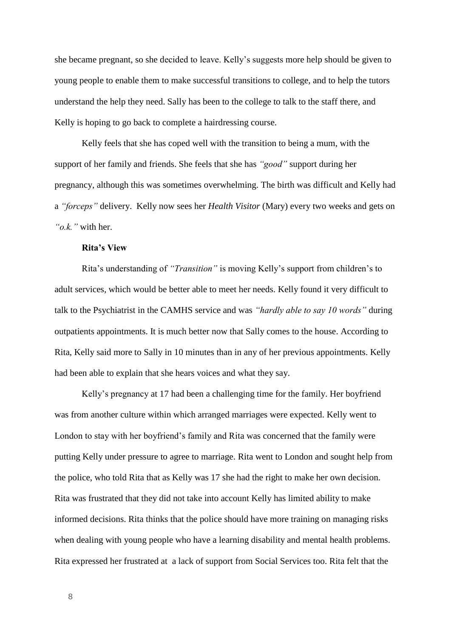she became pregnant, so she decided to leave. Kelly's suggests more help should be given to young people to enable them to make successful transitions to college, and to help the tutors understand the help they need. Sally has been to the college to talk to the staff there, and Kelly is hoping to go back to complete a hairdressing course.

Kelly feels that she has coped well with the transition to being a mum, with the support of her family and friends. She feels that she has *"good"* support during her pregnancy, although this was sometimes overwhelming. The birth was difficult and Kelly had a *"forceps"* delivery. Kelly now sees her *Health Visitor* (Mary) every two weeks and gets on *"o.k."* with her.

## **Rita's View**

Rita's understanding of *"Transition"* is moving Kelly's support from children's to adult services, which would be better able to meet her needs. Kelly found it very difficult to talk to the Psychiatrist in the CAMHS service and was *"hardly able to say 10 words"* during outpatients appointments. It is much better now that Sally comes to the house. According to Rita, Kelly said more to Sally in 10 minutes than in any of her previous appointments. Kelly had been able to explain that she hears voices and what they say.

Kelly's pregnancy at 17 had been a challenging time for the family. Her boyfriend was from another culture within which arranged marriages were expected. Kelly went to London to stay with her boyfriend's family and Rita was concerned that the family were putting Kelly under pressure to agree to marriage. Rita went to London and sought help from the police, who told Rita that as Kelly was 17 she had the right to make her own decision. Rita was frustrated that they did not take into account Kelly has limited ability to make informed decisions. Rita thinks that the police should have more training on managing risks when dealing with young people who have a learning disability and mental health problems. Rita expressed her frustrated at a lack of support from Social Services too. Rita felt that the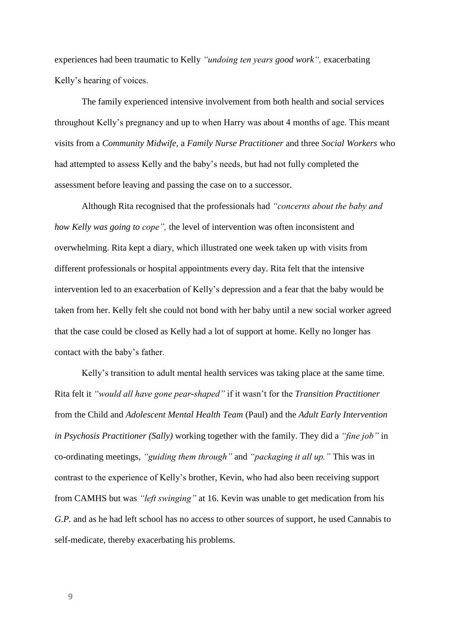experiences had been traumatic to Kelly *"undoing ten years good work",* exacerbating Kelly's hearing of voices.

The family experienced intensive involvement from both health and social services throughout Kelly's pregnancy and up to when Harry was about 4 months of age. This meant visits from a *Community Midwife*, a *Family Nurse Practitioner* and three *Social Workers* who had attempted to assess Kelly and the baby's needs, but had not fully completed the assessment before leaving and passing the case on to a successor.

Although Rita recognised that the professionals had *"concerns about the baby and how Kelly was going to cope",* the level of intervention was often inconsistent and overwhelming. Rita kept a diary, which illustrated one week taken up with visits from different professionals or hospital appointments every day. Rita felt that the intensive intervention led to an exacerbation of Kelly's depression and a fear that the baby would be taken from her. Kelly felt she could not bond with her baby until a new social worker agreed that the case could be closed as Kelly had a lot of support at home. Kelly no longer has contact with the baby's father.

Kelly's transition to adult mental health services was taking place at the same time. Rita felt it *"would all have gone pear-shaped"* if it wasn't for the *Transition Practitioner*  from the Child and *Adolescent Mental Health Team* (Paul) and the *Adult Early Intervention in Psychosis Practitioner (Sally)* working together with the family. They did a *"fine job"* in co-ordinating meetings, *"guiding them through"* and *"packaging it all up."* This was in contrast to the experience of Kelly's brother, Kevin, who had also been receiving support from CAMHS but was *"left swinging"* at 16. Kevin was unable to get medication from his *G.P.* and as he had left school has no access to other sources of support, he used Cannabis to self-medicate, thereby exacerbating his problems.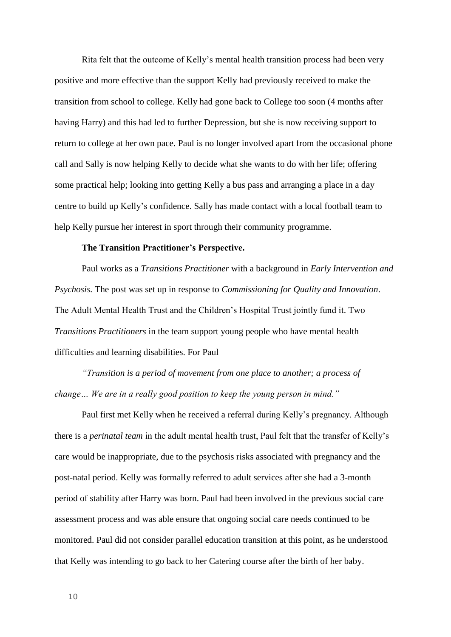Rita felt that the outcome of Kelly's mental health transition process had been very positive and more effective than the support Kelly had previously received to make the transition from school to college. Kelly had gone back to College too soon (4 months after having Harry) and this had led to further Depression, but she is now receiving support to return to college at her own pace. Paul is no longer involved apart from the occasional phone call and Sally is now helping Kelly to decide what she wants to do with her life; offering some practical help; looking into getting Kelly a bus pass and arranging a place in a day centre to build up Kelly's confidence. Sally has made contact with a local football team to help Kelly pursue her interest in sport through their community programme.

## **The Transition Practitioner's Perspective.**

Paul works as a *Transitions Practitioner* with a background in *Early Intervention and Psychosis.* The post was set up in response to *Commissioning for Quality and Innovation*. The Adult Mental Health Trust and the Children's Hospital Trust jointly fund it. Two *Transitions Practitioners* in the team support young people who have mental health difficulties and learning disabilities. For Paul

*"Transition is a period of movement from one place to another; a process of change… We are in a really good position to keep the young person in mind."* 

Paul first met Kelly when he received a referral during Kelly's pregnancy. Although there is a *perinatal team* in the adult mental health trust, Paul felt that the transfer of Kelly's care would be inappropriate, due to the psychosis risks associated with pregnancy and the post-natal period. Kelly was formally referred to adult services after she had a 3-month period of stability after Harry was born. Paul had been involved in the previous social care assessment process and was able ensure that ongoing social care needs continued to be monitored. Paul did not consider parallel education transition at this point, as he understood that Kelly was intending to go back to her Catering course after the birth of her baby.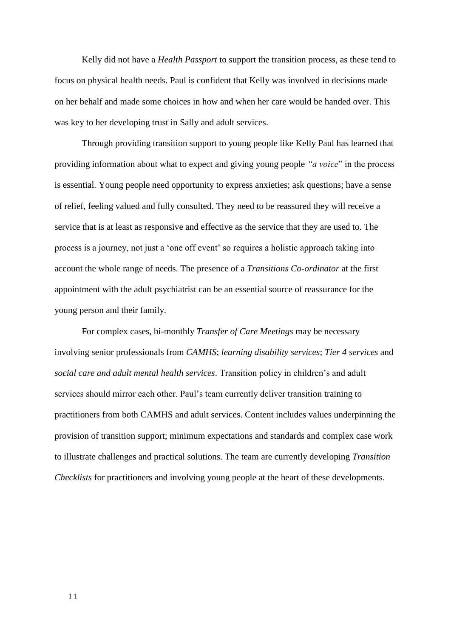Kelly did not have a *Health Passport* to support the transition process, as these tend to focus on physical health needs. Paul is confident that Kelly was involved in decisions made on her behalf and made some choices in how and when her care would be handed over. This was key to her developing trust in Sally and adult services.

Through providing transition support to young people like Kelly Paul has learned that providing information about what to expect and giving young people *"a voice*" in the process is essential. Young people need opportunity to express anxieties; ask questions; have a sense of relief, feeling valued and fully consulted. They need to be reassured they will receive a service that is at least as responsive and effective as the service that they are used to. The process is a journey, not just a 'one off event' so requires a holistic approach taking into account the whole range of needs. The presence of a *Transitions Co-ordinator* at the first appointment with the adult psychiatrist can be an essential source of reassurance for the young person and their family.

For complex cases, bi-monthly *Transfer of Care Meetings* may be necessary involving senior professionals from *CAMHS*; *learning disability services*; *Tier 4 services* and *social care and adult mental health services*. Transition policy in children's and adult services should mirror each other. Paul's team currently deliver transition training to practitioners from both CAMHS and adult services. Content includes values underpinning the provision of transition support; minimum expectations and standards and complex case work to illustrate challenges and practical solutions. The team are currently developing *Transition Checklists* for practitioners and involving young people at the heart of these developments.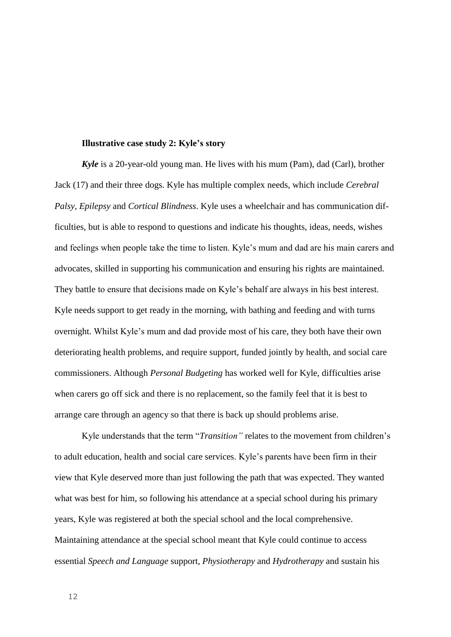### **Illustrative case study 2: Kyle's story**

*Kyle* is a 20-year-old young man. He lives with his mum (Pam), dad (Carl), brother Jack (17) and their three dogs. Kyle has multiple complex needs, which include *Cerebral Palsy, Epilepsy* and *Cortical Blindness*. Kyle uses a wheelchair and has communication difficulties, but is able to respond to questions and indicate his thoughts, ideas, needs, wishes and feelings when people take the time to listen. Kyle's mum and dad are his main carers and advocates, skilled in supporting his communication and ensuring his rights are maintained. They battle to ensure that decisions made on Kyle's behalf are always in his best interest. Kyle needs support to get ready in the morning, with bathing and feeding and with turns overnight. Whilst Kyle's mum and dad provide most of his care, they both have their own deteriorating health problems, and require support, funded jointly by health, and social care commissioners. Although *Personal Budgeting* has worked well for Kyle, difficulties arise when carers go off sick and there is no replacement, so the family feel that it is best to arrange care through an agency so that there is back up should problems arise.

Kyle understands that the term "*Transition"* relates to the movement from children's to adult education, health and social care services. Kyle's parents have been firm in their view that Kyle deserved more than just following the path that was expected. They wanted what was best for him, so following his attendance at a special school during his primary years, Kyle was registered at both the special school and the local comprehensive. Maintaining attendance at the special school meant that Kyle could continue to access essential *Speech and Language* support, *Physiotherapy* and *Hydrotherapy* and sustain his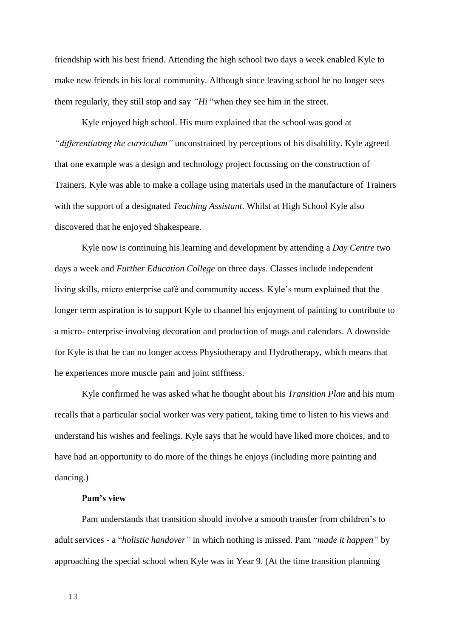friendship with his best friend. Attending the high school two days a week enabled Kyle to make new friends in his local community. Although since leaving school he no longer sees them regularly, they still stop and say *"Hi* "when they see him in the street.

Kyle enjoyed high school. His mum explained that the school was good at *"differentiating the curriculum"* unconstrained by perceptions of his disability. Kyle agreed that one example was a design and technology project focussing on the construction of Trainers. Kyle was able to make a collage using materials used in the manufacture of Trainers with the support of a designated *Teaching Assistant*. Whilst at High School Kyle also discovered that he enjoyed Shakespeare.

Kyle now is continuing his learning and development by attending a *Day Centre* two days a week and *Further Education College* on three days. Classes include independent living skills, micro enterprise café and community access. Kyle's mum explained that the longer term aspiration is to support Kyle to channel his enjoyment of painting to contribute to a micro- enterprise involving decoration and production of mugs and calendars. A downside for Kyle is that he can no longer access Physiotherapy and Hydrotherapy, which means that he experiences more muscle pain and joint stiffness.

Kyle confirmed he was asked what he thought about his *Transition Plan* and his mum recalls that a particular social worker was very patient, taking time to listen to his views and understand his wishes and feelings. Kyle says that he would have liked more choices, and to have had an opportunity to do more of the things he enjoys (including more painting and dancing.)

## **Pam's view**

Pam understands that transition should involve a smooth transfer from children's to adult services - a "*holistic handover"* in which nothing is missed. Pam "*made it happen"* by approaching the special school when Kyle was in Year 9. (At the time transition planning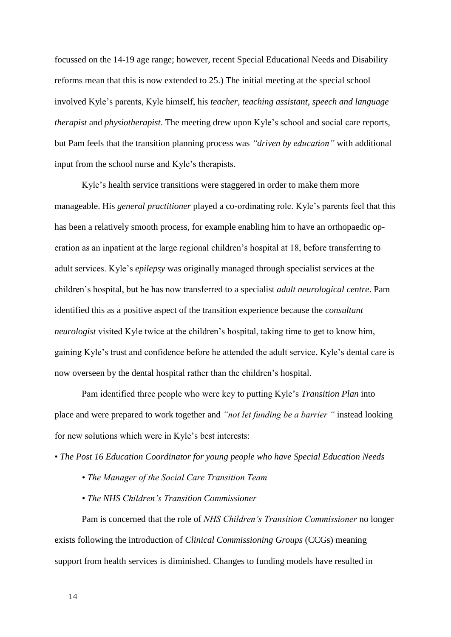focussed on the 14-19 age range; however, recent Special Educational Needs and Disability reforms mean that this is now extended to 25.) The initial meeting at the special school involved Kyle's parents, Kyle himself, his *teacher, teaching assistant, speech and language therapist* and *physiotherapist*. The meeting drew upon Kyle's school and social care reports, but Pam feels that the transition planning process was *"driven by education"* with additional input from the school nurse and Kyle's therapists.

Kyle's health service transitions were staggered in order to make them more manageable. His *general practitioner* played a co-ordinating role. Kyle's parents feel that this has been a relatively smooth process, for example enabling him to have an orthopaedic operation as an inpatient at the large regional children's hospital at 18, before transferring to adult services. Kyle's *epilepsy* was originally managed through specialist services at the children's hospital, but he has now transferred to a specialist *adult neurological centre*. Pam identified this as a positive aspect of the transition experience because the *consultant neurologist* visited Kyle twice at the children's hospital, taking time to get to know him, gaining Kyle's trust and confidence before he attended the adult service. Kyle's dental care is now overseen by the dental hospital rather than the children's hospital.

Pam identified three people who were key to putting Kyle's *Transition Plan* into place and were prepared to work together and *"not let funding be a barrier "* instead looking for new solutions which were in Kyle's best interests:

• *The Post 16 Education Coordinator for young people who have Special Education Needs*

- *The Manager of the Social Care Transition Team*
- *The NHS Children's Transition Commissioner*

Pam is concerned that the role of *NHS Children's Transition Commissioner* no longer exists following the introduction of *Clinical Commissioning Groups* (CCGs) meaning support from health services is diminished. Changes to funding models have resulted in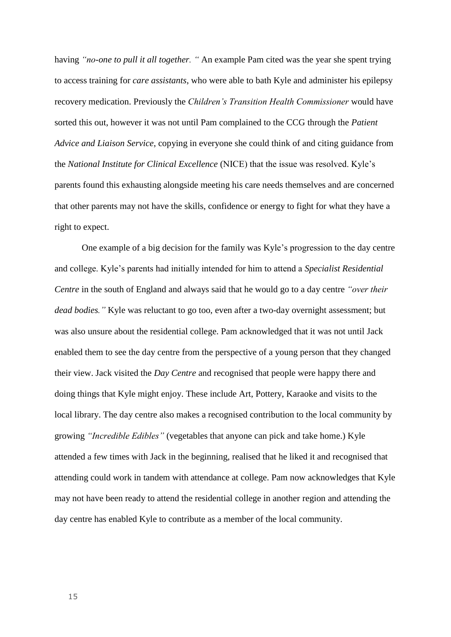having *"no-one to pull it all together. "* An example Pam cited was the year she spent trying to access training for *care assistants*, who were able to bath Kyle and administer his epilepsy recovery medication. Previously the *Children's Transition Health Commissioner* would have sorted this out, however it was not until Pam complained to the CCG through the *Patient Advice and Liaison Service*, copying in everyone she could think of and citing guidance from the *National Institute for Clinical Excellence* (NICE) that the issue was resolved. Kyle's parents found this exhausting alongside meeting his care needs themselves and are concerned that other parents may not have the skills, confidence or energy to fight for what they have a right to expect.

One example of a big decision for the family was Kyle's progression to the day centre and college. Kyle's parents had initially intended for him to attend a *Specialist Residential Centre* in the south of England and always said that he would go to a day centre *"over their dead bodies."* Kyle was reluctant to go too, even after a two-day overnight assessment; but was also unsure about the residential college. Pam acknowledged that it was not until Jack enabled them to see the day centre from the perspective of a young person that they changed their view. Jack visited the *Day Centre* and recognised that people were happy there and doing things that Kyle might enjoy. These include Art, Pottery, Karaoke and visits to the local library. The day centre also makes a recognised contribution to the local community by growing *"Incredible Edibles"* (vegetables that anyone can pick and take home.) Kyle attended a few times with Jack in the beginning, realised that he liked it and recognised that attending could work in tandem with attendance at college. Pam now acknowledges that Kyle may not have been ready to attend the residential college in another region and attending the day centre has enabled Kyle to contribute as a member of the local community.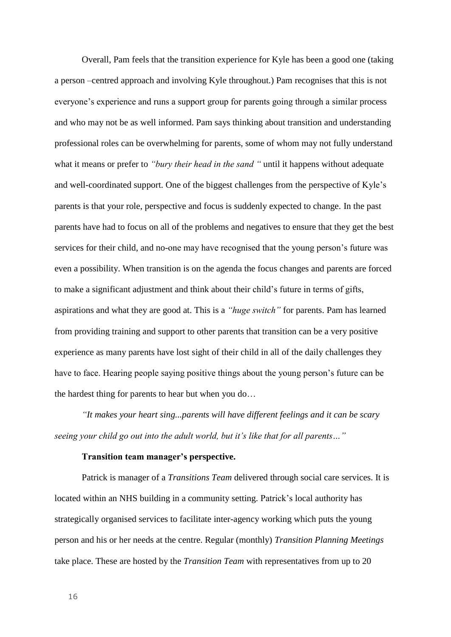Overall, Pam feels that the transition experience for Kyle has been a good one (taking a person –centred approach and involving Kyle throughout.) Pam recognises that this is not everyone's experience and runs a support group for parents going through a similar process and who may not be as well informed. Pam says thinking about transition and understanding professional roles can be overwhelming for parents, some of whom may not fully understand what it means or prefer to *"bury their head in the sand* " until it happens without adequate and well-coordinated support. One of the biggest challenges from the perspective of Kyle's parents is that your role, perspective and focus is suddenly expected to change. In the past parents have had to focus on all of the problems and negatives to ensure that they get the best services for their child, and no-one may have recognised that the young person's future was even a possibility. When transition is on the agenda the focus changes and parents are forced to make a significant adjustment and think about their child's future in terms of gifts, aspirations and what they are good at. This is a *"huge switch"* for parents. Pam has learned from providing training and support to other parents that transition can be a very positive experience as many parents have lost sight of their child in all of the daily challenges they have to face. Hearing people saying positive things about the young person's future can be the hardest thing for parents to hear but when you do…

*"It makes your heart sing...parents will have different feelings and it can be scary seeing your child go out into the adult world, but it's like that for all parents…"*

## **Transition team manager's perspective.**

Patrick is manager of a *Transitions Team* delivered through social care services. It is located within an NHS building in a community setting. Patrick's local authority has strategically organised services to facilitate inter-agency working which puts the young person and his or her needs at the centre. Regular (monthly) *Transition Planning Meetings* take place. These are hosted by the *Transition Team* with representatives from up to 20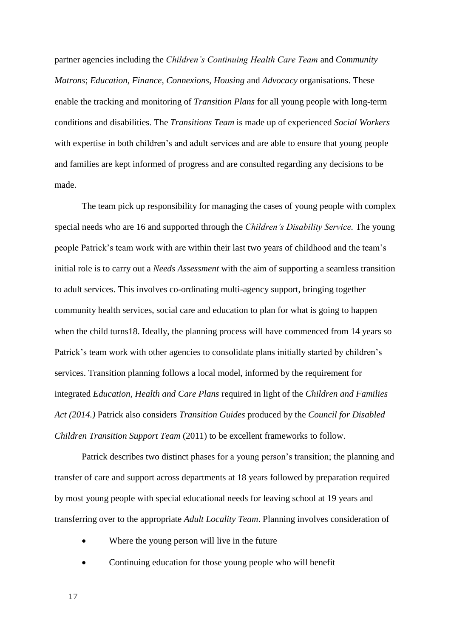partner agencies including the *Children's Continuing Health Care Team* and *Community Matrons*; *Education, Finance, Connexions, Housing* and *Advocacy* organisations. These enable the tracking and monitoring of *Transition Plans* for all young people with long-term conditions and disabilities. The *Transitions Team* is made up of experienced *Social Workers*  with expertise in both children's and adult services and are able to ensure that young people and families are kept informed of progress and are consulted regarding any decisions to be made.

The team pick up responsibility for managing the cases of young people with complex special needs who are 16 and supported through the *Children's Disability Service.* The young people Patrick's team work with are within their last two years of childhood and the team's initial role is to carry out a *Needs Assessment* with the aim of supporting a seamless transition to adult services. This involves co-ordinating multi-agency support, bringing together community health services, social care and education to plan for what is going to happen when the child turns 18. Ideally, the planning process will have commenced from 14 years so Patrick's team work with other agencies to consolidate plans initially started by children's services. Transition planning follows a local model, informed by the requirement for integrated *Education, Health and Care Plans* required in light of the *Children and Families Act (2014.)* Patrick also considers *Transition Guides* produced by the *Council for Disabled Children Transition Support Team* (2011) to be excellent frameworks to follow.

Patrick describes two distinct phases for a young person's transition; the planning and transfer of care and support across departments at 18 years followed by preparation required by most young people with special educational needs for leaving school at 19 years and transferring over to the appropriate *Adult Locality Team*. Planning involves consideration of

- Where the young person will live in the future
- Continuing education for those young people who will benefit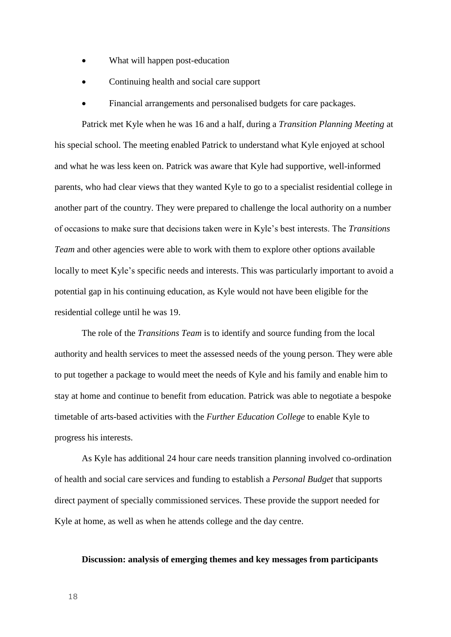- What will happen post-education
- Continuing health and social care support
- Financial arrangements and personalised budgets for care packages.

Patrick met Kyle when he was 16 and a half, during a *Transition Planning Meeting* at his special school. The meeting enabled Patrick to understand what Kyle enjoyed at school and what he was less keen on. Patrick was aware that Kyle had supportive, well-informed parents, who had clear views that they wanted Kyle to go to a specialist residential college in another part of the country. They were prepared to challenge the local authority on a number of occasions to make sure that decisions taken were in Kyle's best interests. The *Transitions Team* and other agencies were able to work with them to explore other options available locally to meet Kyle's specific needs and interests. This was particularly important to avoid a potential gap in his continuing education, as Kyle would not have been eligible for the residential college until he was 19.

The role of the *Transitions Team* is to identify and source funding from the local authority and health services to meet the assessed needs of the young person. They were able to put together a package to would meet the needs of Kyle and his family and enable him to stay at home and continue to benefit from education. Patrick was able to negotiate a bespoke timetable of arts-based activities with the *Further Education College* to enable Kyle to progress his interests.

As Kyle has additional 24 hour care needs transition planning involved co-ordination of health and social care services and funding to establish a *Personal Budget* that supports direct payment of specially commissioned services. These provide the support needed for Kyle at home, as well as when he attends college and the day centre.

## **Discussion: analysis of emerging themes and key messages from participants**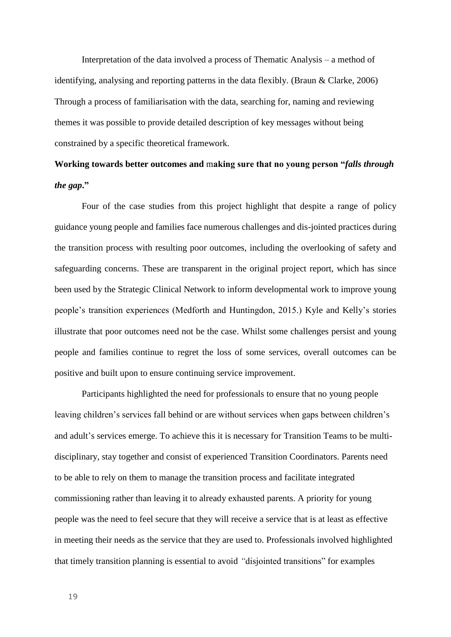Interpretation of the data involved a process of Thematic Analysis – a method of identifying, analysing and reporting patterns in the data flexibly. (Braun & Clarke, 2006) Through a process of familiarisation with the data, searching for, naming and reviewing themes it was possible to provide detailed description of key messages without being constrained by a specific theoretical framework.

# **Working towards better outcomes and** m**aking sure that no young person "***falls through the gap***."**

Four of the case studies from this project highlight that despite a range of policy guidance young people and families face numerous challenges and dis-jointed practices during the transition process with resulting poor outcomes, including the overlooking of safety and safeguarding concerns. These are transparent in the original project report, which has since been used by the Strategic Clinical Network to inform developmental work to improve young people's transition experiences (Medforth and Huntingdon, 2015.) Kyle and Kelly's stories illustrate that poor outcomes need not be the case. Whilst some challenges persist and young people and families continue to regret the loss of some services, overall outcomes can be positive and built upon to ensure continuing service improvement.

Participants highlighted the need for professionals to ensure that no young people leaving children's services fall behind or are without services when gaps between children's and adult's services emerge. To achieve this it is necessary for Transition Teams to be multidisciplinary, stay together and consist of experienced Transition Coordinators. Parents need to be able to rely on them to manage the transition process and facilitate integrated commissioning rather than leaving it to already exhausted parents. A priority for young people was the need to feel secure that they will receive a service that is at least as effective in meeting their needs as the service that they are used to. Professionals involved highlighted that timely transition planning is essential to avoid *"*disjointed transitions" for examples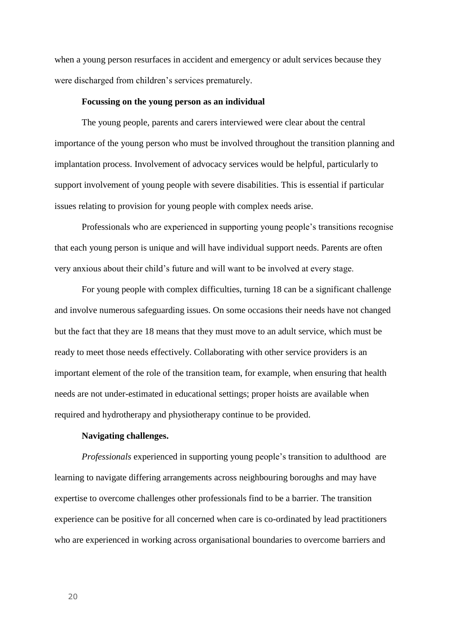when a young person resurfaces in accident and emergency or adult services because they were discharged from children's services prematurely.

#### **Focussing on the young person as an individual**

The young people, parents and carers interviewed were clear about the central importance of the young person who must be involved throughout the transition planning and implantation process. Involvement of advocacy services would be helpful, particularly to support involvement of young people with severe disabilities. This is essential if particular issues relating to provision for young people with complex needs arise.

Professionals who are experienced in supporting young people's transitions recognise that each young person is unique and will have individual support needs. Parents are often very anxious about their child's future and will want to be involved at every stage.

For young people with complex difficulties, turning 18 can be a significant challenge and involve numerous safeguarding issues. On some occasions their needs have not changed but the fact that they are 18 means that they must move to an adult service, which must be ready to meet those needs effectively. Collaborating with other service providers is an important element of the role of the transition team, for example, when ensuring that health needs are not under-estimated in educational settings; proper hoists are available when required and hydrotherapy and physiotherapy continue to be provided.

## **Navigating challenges.**

*Professionals* experienced in supporting young people's transition to adulthood are learning to navigate differing arrangements across neighbouring boroughs and may have expertise to overcome challenges other professionals find to be a barrier. The transition experience can be positive for all concerned when care is co-ordinated by lead practitioners who are experienced in working across organisational boundaries to overcome barriers and

20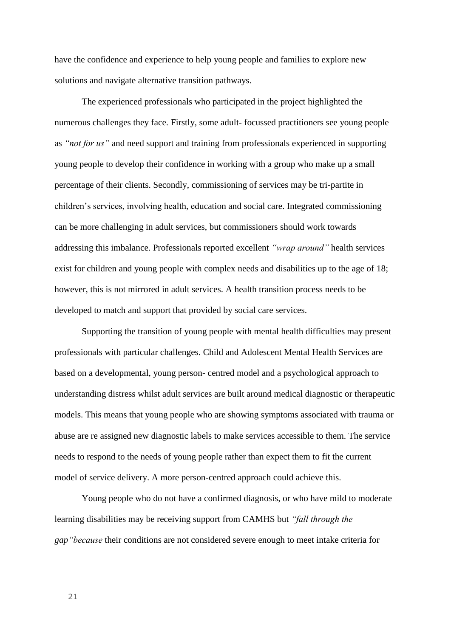have the confidence and experience to help young people and families to explore new solutions and navigate alternative transition pathways.

The experienced professionals who participated in the project highlighted the numerous challenges they face. Firstly, some adult- focussed practitioners see young people as *"not for us"* and need support and training from professionals experienced in supporting young people to develop their confidence in working with a group who make up a small percentage of their clients. Secondly, commissioning of services may be tri-partite in children's services, involving health, education and social care. Integrated commissioning can be more challenging in adult services, but commissioners should work towards addressing this imbalance. Professionals reported excellent *"wrap around"* health services exist for children and young people with complex needs and disabilities up to the age of 18; however, this is not mirrored in adult services. A health transition process needs to be developed to match and support that provided by social care services.

Supporting the transition of young people with mental health difficulties may present professionals with particular challenges. Child and Adolescent Mental Health Services are based on a developmental, young person- centred model and a psychological approach to understanding distress whilst adult services are built around medical diagnostic or therapeutic models. This means that young people who are showing symptoms associated with trauma or abuse are re assigned new diagnostic labels to make services accessible to them. The service needs to respond to the needs of young people rather than expect them to fit the current model of service delivery. A more person-centred approach could achieve this.

Young people who do not have a confirmed diagnosis, or who have mild to moderate learning disabilities may be receiving support from CAMHS but *"fall through the gap"because* their conditions are not considered severe enough to meet intake criteria for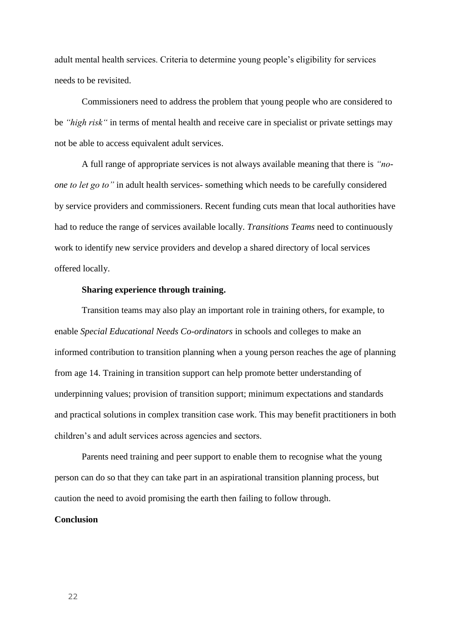adult mental health services. Criteria to determine young people's eligibility for services needs to be revisited.

Commissioners need to address the problem that young people who are considered to be *"high risk"* in terms of mental health and receive care in specialist or private settings may not be able to access equivalent adult services.

A full range of appropriate services is not always available meaning that there is *"noone to let go to"* in adult health services- something which needs to be carefully considered by service providers and commissioners. Recent funding cuts mean that local authorities have had to reduce the range of services available locally. *Transitions Teams* need to continuously work to identify new service providers and develop a shared directory of local services offered locally.

## **Sharing experience through training.**

Transition teams may also play an important role in training others, for example, to enable *Special Educational Needs Co-ordinators* in schools and colleges to make an informed contribution to transition planning when a young person reaches the age of planning from age 14. Training in transition support can help promote better understanding of underpinning values; provision of transition support; minimum expectations and standards and practical solutions in complex transition case work. This may benefit practitioners in both children's and adult services across agencies and sectors.

Parents need training and peer support to enable them to recognise what the young person can do so that they can take part in an aspirational transition planning process, but caution the need to avoid promising the earth then failing to follow through.

## **Conclusion**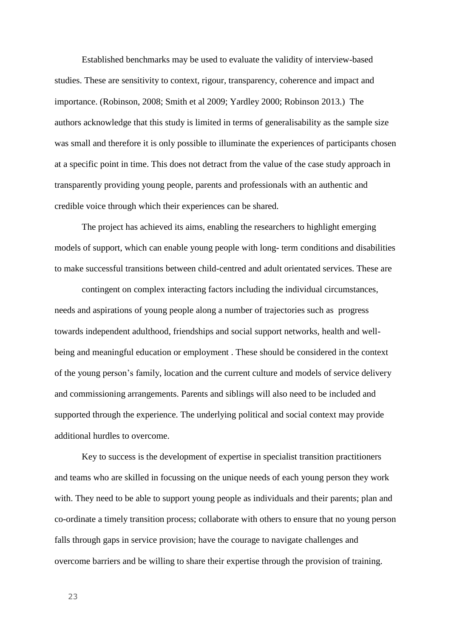Established benchmarks may be used to evaluate the validity of interview-based studies. These are sensitivity to context, rigour, transparency, coherence and impact and importance. (Robinson, 2008; Smith et al 2009; Yardley 2000; Robinson 2013.) The authors acknowledge that this study is limited in terms of generalisability as the sample size was small and therefore it is only possible to illuminate the experiences of participants chosen at a specific point in time. This does not detract from the value of the case study approach in transparently providing young people, parents and professionals with an authentic and credible voice through which their experiences can be shared.

The project has achieved its aims, enabling the researchers to highlight emerging models of support, which can enable young people with long- term conditions and disabilities to make successful transitions between child-centred and adult orientated services. These are

contingent on complex interacting factors including the individual circumstances, needs and aspirations of young people along a number of trajectories such as progress towards independent adulthood, friendships and social support networks, health and wellbeing and meaningful education or employment . These should be considered in the context of the young person's family, location and the current culture and models of service delivery and commissioning arrangements. Parents and siblings will also need to be included and supported through the experience. The underlying political and social context may provide additional hurdles to overcome.

Key to success is the development of expertise in specialist transition practitioners and teams who are skilled in focussing on the unique needs of each young person they work with. They need to be able to support young people as individuals and their parents; plan and co-ordinate a timely transition process; collaborate with others to ensure that no young person falls through gaps in service provision; have the courage to navigate challenges and overcome barriers and be willing to share their expertise through the provision of training.

23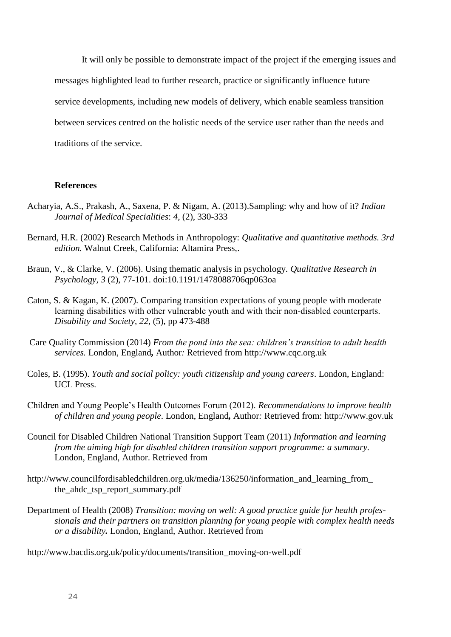It will only be possible to demonstrate impact of the project if the emerging issues and messages highlighted lead to further research, practice or significantly influence future service developments, including new models of delivery, which enable seamless transition between services centred on the holistic needs of the service user rather than the needs and traditions of the service.

### **References**

- Acharyia, A.S., Prakash, A., Saxena, P. & Nigam, A. (2013).Sampling: why and how of it? *Indian Journal of Medical Specialities*: *4*, (2), 330-333
- Bernard, H.R. (2002) Research Methods in Anthropology: *Qualitative and quantitative methods. 3rd edition.* Walnut Creek, California: Altamira Press,.
- Braun, V., & Clarke, V. (2006). Using thematic analysis in psychology. *Qualitative Research in Psychology, 3* (2), 77-101. doi:10.1191/1478088706qp063oa
- Caton, S. & Kagan, K. (2007). Comparing transition expectations of young people with moderate learning disabilities with other vulnerable youth and with their non‐disabled counterparts. *Disability and Society, 22,* (5), pp 473-488
- Care Quality Commission (2014) *From the pond into the sea: children's transition to adult health services.* London, England*,* Author*:* Retrieved from [http://www.cqc.org.uk](http://www.cqc.org.uk/)
- Coles, B. (1995). *Youth and social policy: youth citizenship and young careers*. London, England: UCL Press.
- Children and Young People's Health Outcomes Forum (2012). *Recommendations to improve health of children and young people*. London, England*,* Author*:* Retrieved from: http://www.gov.uk
- Council for Disabled Children National Transition Support Team (2011) *Information and learning from the aiming high for disabled children transition support programme: a summary.* London, England, Author. Retrieved from
- http://www.councilfordisabledchildren.org.uk/media/136250/information\_and\_learning\_from\_ the\_ahdc\_tsp\_report\_summary.pdf
- Department of Health (2008) *Transition: moving on well: A good practice guide for health professionals and their partners on transition planning for young people with complex health needs or a disability.* London, England, Author. Retrieved from

http://www.bacdis.org.uk/policy/documents/transition\_moving-on-well.pdf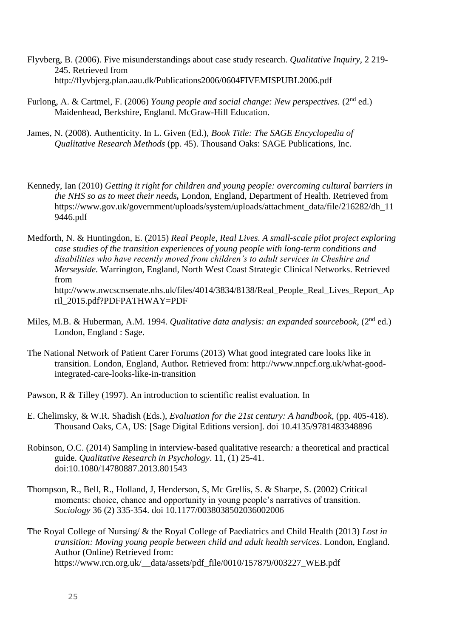- Flyvberg, B. (2006). Five misunderstandings about case study research. *Qualitative Inquiry,* 2 219- 245. Retrieved from http://flyvbjerg.plan.aau.dk/Publications2006/0604FIVEMISPUBL2006.pdf
- Furlong, A. & Cartmel, F. (2006) *Young people and social change: New perspectives.* (2<sup>nd</sup> ed.) Maidenhead, Berkshire, England. McGraw-Hill Education.
- James, N. (2008). Authenticity. In L. Given (Ed.), *Book Title: The SAGE Encyclopedia of Qualitative Research Methods* (pp. 45). Thousand Oaks: SAGE Publications, Inc.
- Kennedy, Ian (2010) *Getting it right for children and young people: overcoming cultural barriers in the NHS so as to meet their needs,* London, England, Department of Health. Retrieved from https://www.gov.uk/government/uploads/system/uploads/attachment\_data/file/216282/dh\_11 9446.pdf
- Medforth, N. & Huntingdon, E. (2015) *Real People, Real Lives. A small-scale pilot project exploring case studies of the transition experiences of young people with long-term conditions and disabilities who have recently moved from children's to adult services in Cheshire and Merseyside.* Warrington, England*,* North West Coast Strategic Clinical Networks. Retrieved from [http://www.nwcscnsenate.nhs.uk/files/4014/3834/8138/Real\\_People\\_Real\\_Lives\\_Report\\_Ap](http://www.nwcscnsenate.nhs.uk/files/4014/3834/8138/Real_People_Real_Lives_Report_April_2015.pdf?PDFPATHWAY=PDF) [ril\\_2015.pdf?PDFPATHWAY=PDF](http://www.nwcscnsenate.nhs.uk/files/4014/3834/8138/Real_People_Real_Lives_Report_April_2015.pdf?PDFPATHWAY=PDF)
- Miles, M.B. & Huberman, A.M. 1994. *Qualitative data analysis: an expanded sourcebook*, (2<sup>nd</sup> ed.) London, England : Sage.
- The National Network of Patient Carer Forums (2013) What good integrated care looks like in transition. London, England, Author*.* Retrieved from: [http://www.nnpcf.org.uk/what-good](http://www.nnpcf.org.uk/what-good-integrated-care-looks-like-in-transition)[integrated-care-looks-like-in-transition](http://www.nnpcf.org.uk/what-good-integrated-care-looks-like-in-transition)
- Pawson, R & Tilley (1997). An introduction to scientific realist evaluation. In
- E. Chelimsky, & W.R. Shadish (Eds.), *Evaluation for the 21st century: A handbook,* (pp. 405-418). Thousand Oaks, CA, US: [Sage Digital Editions version]. doi 10.4135/9781483348896
- Robinson, O.C. (2014) Sampling in interview-based qualitative research*:* a theoretical and practical guide. *Qualitative Research in Psychology*. 11, (1) 25-41. doi:10.1080/14780887.2013.801543
- Thompson, R., Bell, R., Holland, J, Henderson, S, Mc Grellis, S. & Sharpe, S. (2002) Critical moments: choice, chance and opportunity in young people's narratives of transition. *Sociology* 36 (2) 335-354. doi 10.1177/0038038502036002006
- The Royal College of Nursing/ & the Royal College of Paediatrics and Child Health (2013) *Lost in transition: Moving young people between child and adult health services*. London, England. Author (Online) Retrieved from: https://www.rcn.org.uk/\_\_data/assets/pdf\_file/0010/157879/003227\_WEB.pdf